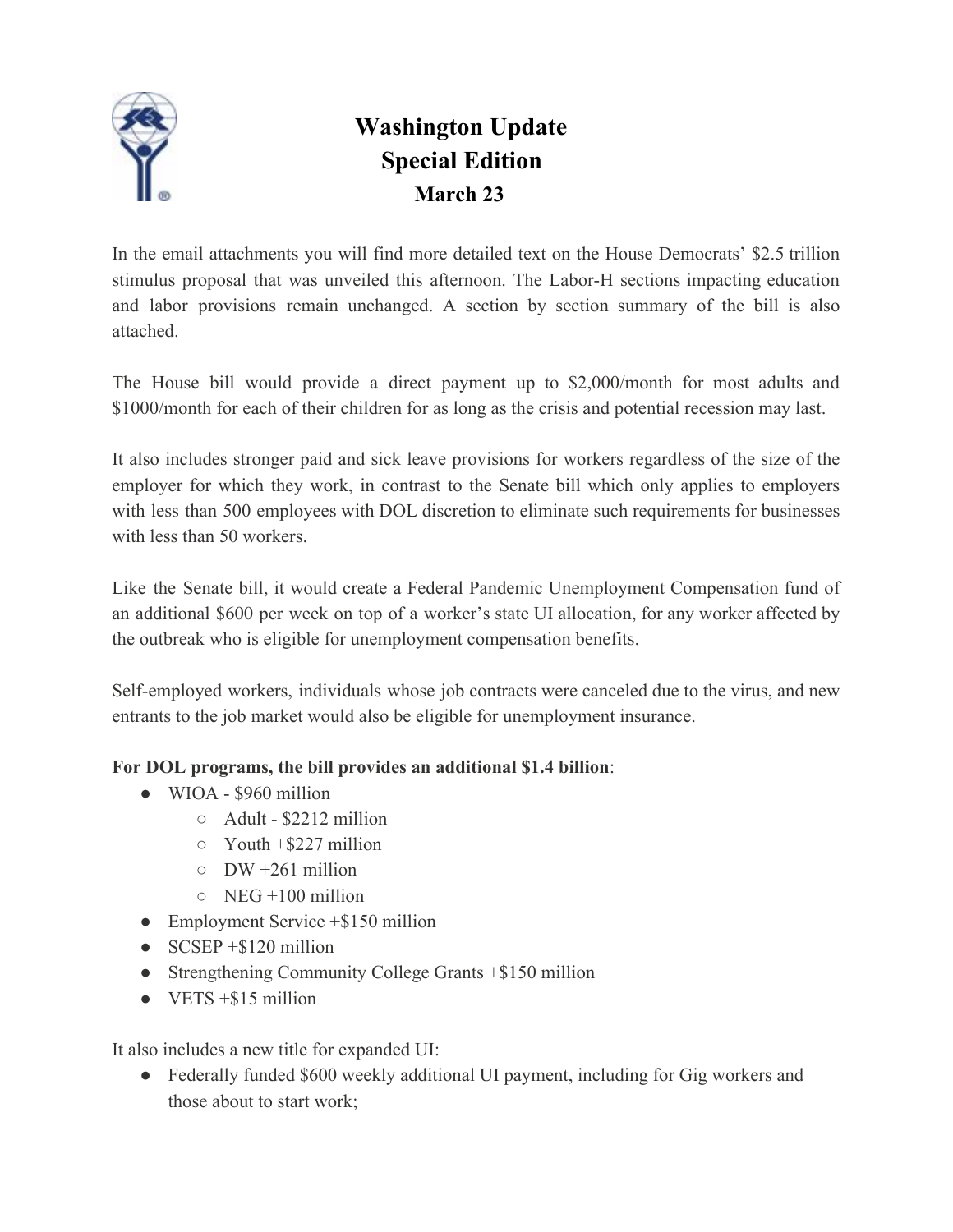

## **Washington Update Special Edition March 23**

In the email attachments you will find more detailed text on the House Democrats' \$2.5 trillion stimulus proposal that was unveiled this afternoon. The Labor-H sections impacting education and labor provisions remain unchanged. A section by section summary of the bill is also attached.

The House bill would provide a direct payment up to \$2,000/month for most adults and \$1000/month for each of their children for as long as the crisis and potential recession may last.

It also includes stronger paid and sick leave provisions for workers regardless of the size of the employer for which they work, in contrast to the Senate bill which only applies to employers with less than 500 employees with DOL discretion to eliminate such requirements for businesses with less than 50 workers.

Like the Senate bill, it would create a Federal Pandemic Unemployment Compensation fund of an additional \$600 per week on top of a worker's state UI allocation, for any worker affected by the outbreak who is eligible for unemployment compensation benefits.

Self-employed workers, individuals whose job contracts were canceled due to the virus, and new entrants to the job market would also be eligible for unemployment insurance.

## **For DOL programs, the bill provides an additional \$1.4 billion**:

- $\bullet$  WIOA \$960 million
	- $\circ$  Adult \$2212 million
	- $\circ$  Youth +\$227 million
	- $\circ$  DW +261 million
	- $\circ$  NEG +100 million
- Employment Service  $+$ \$150 million
- $\bullet$  SCSEP +\$120 million
- Strengthening Community College Grants +\$150 million
- $\bullet$  VETS  $+$ \$15 million

It also includes a new title for expanded UI:

• Federally funded \$600 weekly additional UI payment, including for Gig workers and those about to start work;